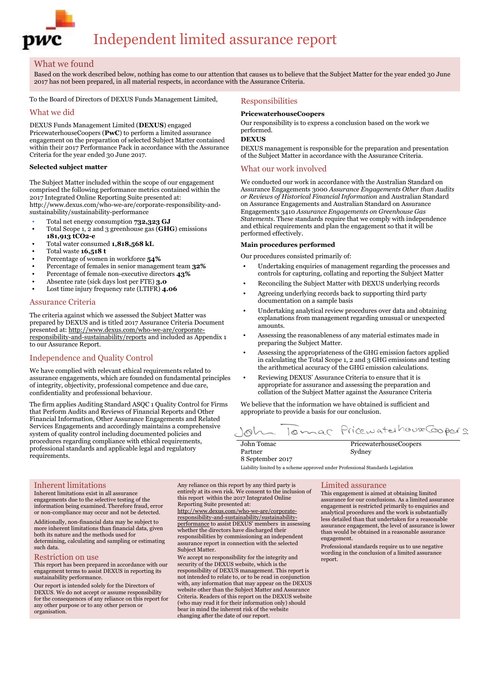

### What we found

Based on the work described below, nothing has come to our attention that causes us to believe that the Subject Matter for the year ended 30 June 2017 has not been prepared, in all material respects, in accordance with the Assurance Criteria.

To the Board of Directors of DEXUS Funds Management Limited,

#### What we did

DEXUS Funds Management Limited (**DEXUS**) engaged PricewaterhouseCoopers (**PwC**) to perform a limited assurance engagement on the preparation of selected Subject Matter contained within their 2017 Performance Pack in accordance with the Assurance Criteria for the year ended 30 June 2017.

#### **Selected subject matter**

The Subject Matter included within the scope of our engagement comprised the following performance metrics contained within the 2017 Integrated Online Reporting Suite presented at: http://www.dexus.com/who-we-are/corporate-responsibility-andsustainability/sustainability-performance

- Total net energy consumption **732,323 GJ**
- Total Scope 1, 2 and 3 greenhouse gas (**GHG**) emissions **181,913 tCO2-e**
- Total water consumed **1,818,568 kL**
- Total waste **16,518 t**
- Percentage of women in workforce **54%**
- Percentage of females in senior management team **32%**
- Percentage of female non-executive directors **43%**
- Absentee rate (sick days lost per FTE) **3.0** • Lost time injury frequency rate (LTIFR) **4.06**
- 

#### Assurance Criteria

The criteria against which we assessed the Subject Matter was prepared by DEXUS and is titled 2017 Assurance Criteria Document presented at: http://www.dexus.com/who-we-are/corporateresponsibility-and-sustainability/reports and included as Appendix 1 to our Assurance Report.

## Independence and Quality Control

We have complied with relevant ethical requirements related to assurance engagements, which are founded on fundamental principles of integrity, objectivity, professional competence and due care, confidentiality and professional behaviour.

The firm applies Auditing Standard ASQC 1 Quality Control for Firms that Perform Audits and Reviews of Financial Reports and Other Financial Information, Other Assurance Engagements and Related Services Engagements and accordingly maintains a comprehensive system of quality control including documented policies and procedures regarding compliance with ethical requirements, professional standards and applicable legal and regulatory requirements.

#### Responsibilities

#### **PricewaterhouseCoopers**

Our responsibility is to express a conclusion based on the work we performed.

**DEXUS**

DEXUS management is responsible for the preparation and presentation of the Subject Matter in accordance with the Assurance Criteria.

#### What our work involved

We conducted our work in accordance with the Australian Standard on Assurance Engagements 3000 *Assurance Engagements Other than Audits or Reviews of Historical Financial Information* and Australian Standard on Assurance Engagements and Australian Standard on Assurance Engagements 3410 *Assurance Engagements on Greenhouse Gas Statements*. These standards require that we comply with independence and ethical requirements and plan the engagement so that it will be performed effectively.

#### **Main procedures performed**

Our procedures consisted primarily of:

- Undertaking enquiries of management regarding the processes and controls for capturing, collating and reporting the Subject Matter
- Reconciling the Subject Matter with DEXUS underlying records
- Agreeing underlying records back to supporting third party documentation on a sample basis
- Undertaking analytical review procedures over data and obtaining explanations from management regarding unusual or unexpected amounts.
- Assessing the reasonableness of any material estimates made in preparing the Subject Matter.
- Assessing the appropriateness of the GHG emission factors applied in calculating the Total Scope 1, 2 and 3 GHG emissions and testing the arithmetical accuracy of the GHG emission calculations.
- Reviewing DEXUS' Assurance Criteria to ensure that it is appropriate for assurance and assessing the preparation and collation of the Subject Matter against the Assurance Criteria

We believe that the information we have obtained is sufficient and appropriate to provide a basis for our conclusion.

Tomar Pricewaterhouse Coopers  $\sim$   $\sim$ 

John Tomac Partner 8 September 2017 PricewaterhouseCoopers Sydney

Liability limited by a scheme approved under Professional Standards Legislation

#### Inherent limitations

Inherent limitations exist in all assurance engagements due to the selective testing of the information being examined. Therefore fraud, error or non-compliance may occur and not be detected.

Additionally, non-financial data may be subject to more inherent limitations than financial data, given both its nature and the methods used for determining, calculating and sampling or estimating such data.

#### Restriction on use

This report has been prepared in accordance with our engagement terms to assist DEXUS in reporting its sustainability performance.

Our report is intended solely for the Directors of DEXUS. We do not accept or assume responsibility for the consequences of any reliance on this report for any other purpose or to any other person or organisation.

Any reliance on this report by any third party is entirely at its own risk. We consent to the inclusion of this report within the 2017 Integrated Online Reporting Suite presented at:

http://www.dexus.com/who-we-are/corporateresponsibility-and-sustainability/sustainabilityperformance to assist DEXUS' members in assessing whether the directors have discharged their responsibilities by commissioning an independent assurance report in connection with the selected Subject Matter.

We accept no responsibility for the integrity and security of the DEXUS website, which is the responsibility of DEXUS management. This report is not intended to relate to, or to be read in conjunction with, any information that may appear on the DEXUS website other than the Subject Matter and Assurance Criteria. Readers of this report on the DEXUS website (who may read it for their information only) should bear in mind the inherent risk of the website changing after the date of our report.

#### Limited assurance

This engagement is aimed at obtaining limited assurance for our conclusions. As a limited assurance engagement is restricted primarily to enquiries and analytical procedures and the work is substantially less detailed than that undertaken for a reasonable assurance engagement, the level of assurance is lower than would be obtained in a reasonable assurance engagement.

Professional standards require us to use negative wording in the conclusion of a limited assurance report.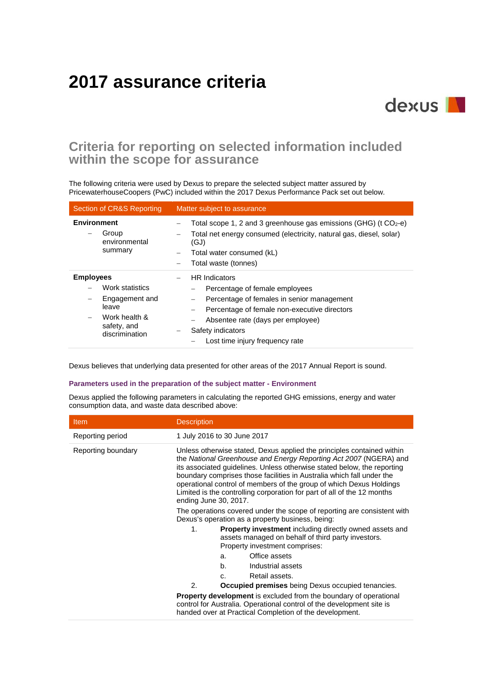# **2017 assurance criteria**

# **Criteria for reporting on selected information included within the scope for assurance**

dexus I

The following criteria were used by Dexus to prepare the selected subject matter assured by PricewaterhouseCoopers (PwC) included within the 2017 Dexus Performance Pack set out below.

| <b>Section of CR&amp;S Reporting</b>                                                                             | Matter subject to assurance                                                                                                                                                                                                                       |  |
|------------------------------------------------------------------------------------------------------------------|---------------------------------------------------------------------------------------------------------------------------------------------------------------------------------------------------------------------------------------------------|--|
| <b>Environment</b><br>Group<br>environmental<br>summary                                                          | Total scope 1, 2 and 3 greenhouse gas emissions (GHG) ( $t$ CO <sub>2</sub> -e)<br>Total net energy consumed (electricity, natural gas, diesel, solar)<br>(GJ)<br>Total water consumed (kL)<br>—<br>Total waste (tonnes)                          |  |
| <b>Employees</b><br>Work statistics<br>Engagement and<br>leave<br>Work health &<br>safety, and<br>discrimination | <b>HR</b> Indicators<br>Percentage of female employees<br>Percentage of females in senior management<br>Percentage of female non-executive directors<br>Absentee rate (days per employee)<br>Safety indicators<br>Lost time injury frequency rate |  |

Dexus believes that underlying data presented for other areas of the 2017 Annual Report is sound.

#### **Parameters used in the preparation of the subject matter - Environment**

Dexus applied the following parameters in calculating the reported GHG emissions, energy and water consumption data, and waste data described above:

| <b>Item</b>        | <b>Description</b>                                                                                                          |              |                                                                                                                                                                                                                                                                                                                                                                                                                                                   |
|--------------------|-----------------------------------------------------------------------------------------------------------------------------|--------------|---------------------------------------------------------------------------------------------------------------------------------------------------------------------------------------------------------------------------------------------------------------------------------------------------------------------------------------------------------------------------------------------------------------------------------------------------|
| Reporting period   | 1 July 2016 to 30 June 2017                                                                                                 |              |                                                                                                                                                                                                                                                                                                                                                                                                                                                   |
| Reporting boundary | ending June 30, 2017.                                                                                                       |              | Unless otherwise stated, Dexus applied the principles contained within<br>the National Greenhouse and Energy Reporting Act 2007 (NGERA) and<br>its associated guidelines. Unless otherwise stated below, the reporting<br>boundary comprises those facilities in Australia which fall under the<br>operational control of members of the group of which Dexus Holdings<br>Limited is the controlling corporation for part of all of the 12 months |
|                    | The operations covered under the scope of reporting are consistent with<br>Dexus's operation as a property business, being: |              |                                                                                                                                                                                                                                                                                                                                                                                                                                                   |
|                    | 1 <sub>1</sub>                                                                                                              |              | <b>Property investment</b> including directly owned assets and<br>assets managed on behalf of third party investors.<br>Property investment comprises:                                                                                                                                                                                                                                                                                            |
|                    |                                                                                                                             | a.           | Office assets                                                                                                                                                                                                                                                                                                                                                                                                                                     |
|                    |                                                                                                                             | b.           | Industrial assets                                                                                                                                                                                                                                                                                                                                                                                                                                 |
|                    |                                                                                                                             | $\mathbf{C}$ | Retail assets.                                                                                                                                                                                                                                                                                                                                                                                                                                    |
|                    | 2.                                                                                                                          |              | <b>Occupied premises</b> being Dexus occupied tenancies.                                                                                                                                                                                                                                                                                                                                                                                          |
|                    |                                                                                                                             |              | <b>Property development</b> is excluded from the boundary of operational<br>control for Australia. Operational control of the development site is<br>handed over at Practical Completion of the development.                                                                                                                                                                                                                                      |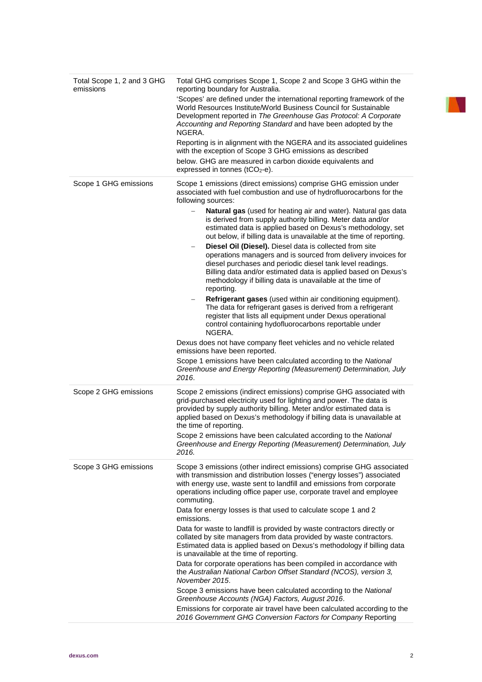| Total Scope 1, 2 and 3 GHG<br>emissions | Total GHG comprises Scope 1, Scope 2 and Scope 3 GHG within the<br>reporting boundary for Australia.<br>'Scopes' are defined under the international reporting framework of the<br>World Resources Institute/World Business Council for Sustainable<br>Development reported in The Greenhouse Gas Protocol: A Corporate<br>Accounting and Reporting Standard and have been adopted by the<br>NGERA.<br>Reporting is in alignment with the NGERA and its associated guidelines<br>with the exception of Scope 3 GHG emissions as described<br>below. GHG are measured in carbon dioxide equivalents and<br>expressed in tonnes (tCO <sub>2</sub> -e).                                                                                                                                                                                                                                                                                                                                                                                                                                                                             |
|-----------------------------------------|----------------------------------------------------------------------------------------------------------------------------------------------------------------------------------------------------------------------------------------------------------------------------------------------------------------------------------------------------------------------------------------------------------------------------------------------------------------------------------------------------------------------------------------------------------------------------------------------------------------------------------------------------------------------------------------------------------------------------------------------------------------------------------------------------------------------------------------------------------------------------------------------------------------------------------------------------------------------------------------------------------------------------------------------------------------------------------------------------------------------------------|
| Scope 1 GHG emissions                   | Scope 1 emissions (direct emissions) comprise GHG emission under<br>associated with fuel combustion and use of hydrofluorocarbons for the<br>following sources:                                                                                                                                                                                                                                                                                                                                                                                                                                                                                                                                                                                                                                                                                                                                                                                                                                                                                                                                                                  |
|                                         | Natural gas (used for heating air and water). Natural gas data<br>is derived from supply authority billing. Meter data and/or<br>estimated data is applied based on Dexus's methodology, set<br>out below, if billing data is unavailable at the time of reporting.<br>Diesel Oil (Diesel). Diesel data is collected from site<br>operations managers and is sourced from delivery invoices for<br>diesel purchases and periodic diesel tank level readings.<br>Billing data and/or estimated data is applied based on Dexus's<br>methodology if billing data is unavailable at the time of<br>reporting.<br>Refrigerant gases (used within air conditioning equipment).<br>The data for refrigerant gases is derived from a refrigerant<br>register that lists all equipment under Dexus operational<br>control containing hydofluorocarbons reportable under<br>NGERA.<br>Dexus does not have company fleet vehicles and no vehicle related<br>emissions have been reported.<br>Scope 1 emissions have been calculated according to the National<br>Greenhouse and Energy Reporting (Measurement) Determination, July<br>2016. |
| Scope 2 GHG emissions                   | Scope 2 emissions (indirect emissions) comprise GHG associated with<br>grid-purchased electricity used for lighting and power. The data is<br>provided by supply authority billing. Meter and/or estimated data is<br>applied based on Dexus's methodology if billing data is unavailable at<br>the time of reporting.<br>Scope 2 emissions have been calculated according to the National<br>Greenhouse and Energy Reporting (Measurement) Determination, July<br>2016.                                                                                                                                                                                                                                                                                                                                                                                                                                                                                                                                                                                                                                                         |
| Scope 3 GHG emissions                   | Scope 3 emissions (other indirect emissions) comprise GHG associated<br>with transmission and distribution losses ("energy losses") associated<br>with energy use, waste sent to landfill and emissions from corporate<br>operations including office paper use, corporate travel and employee<br>commuting.<br>Data for energy losses is that used to calculate scope 1 and 2<br>emissions.<br>Data for waste to landfill is provided by waste contractors directly or<br>collated by site managers from data provided by waste contractors.<br>Estimated data is applied based on Dexus's methodology if billing data<br>is unavailable at the time of reporting.<br>Data for corporate operations has been compiled in accordance with<br>the Australian National Carbon Offset Standard (NCOS), version 3,<br>November 2015.<br>Scope 3 emissions have been calculated according to the National<br>Greenhouse Accounts (NGA) Factors, August 2016.                                                                                                                                                                          |
|                                         | Emissions for corporate air travel have been calculated according to the<br>2016 Government GHG Conversion Factors for Company Reporting                                                                                                                                                                                                                                                                                                                                                                                                                                                                                                                                                                                                                                                                                                                                                                                                                                                                                                                                                                                         |

N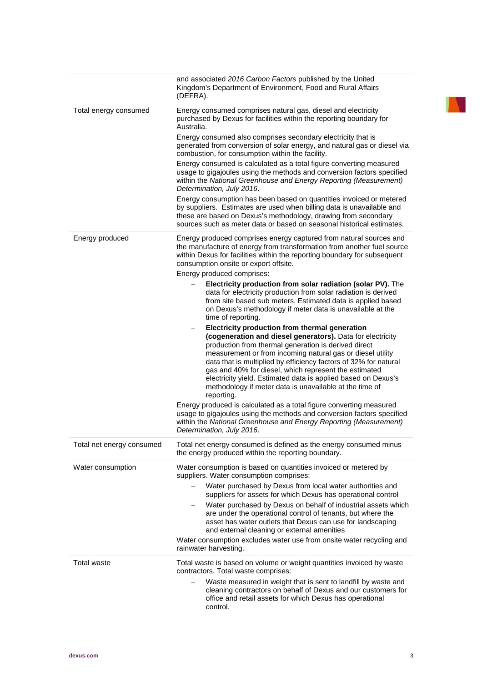|                           | and associated 2016 Carbon Factors published by the United<br>Kingdom's Department of Environment, Food and Rural Affairs<br>(DEFRA).                                                                                                                                                                                                                                                                                                                                                                     |
|---------------------------|-----------------------------------------------------------------------------------------------------------------------------------------------------------------------------------------------------------------------------------------------------------------------------------------------------------------------------------------------------------------------------------------------------------------------------------------------------------------------------------------------------------|
| Total energy consumed     | Energy consumed comprises natural gas, diesel and electricity<br>purchased by Dexus for facilities within the reporting boundary for<br>Australia.                                                                                                                                                                                                                                                                                                                                                        |
|                           | Energy consumed also comprises secondary electricity that is<br>generated from conversion of solar energy, and natural gas or diesel via<br>combustion, for consumption within the facility.                                                                                                                                                                                                                                                                                                              |
|                           | Energy consumed is calculated as a total figure converting measured<br>usage to gigajoules using the methods and conversion factors specified<br>within the National Greenhouse and Energy Reporting (Measurement)<br>Determination, July 2016.                                                                                                                                                                                                                                                           |
|                           | Energy consumption has been based on quantities invoiced or metered<br>by suppliers. Estimates are used when billing data is unavailable and<br>these are based on Dexus's methodology, drawing from secondary<br>sources such as meter data or based on seasonal historical estimates.                                                                                                                                                                                                                   |
| Energy produced           | Energy produced comprises energy captured from natural sources and<br>the manufacture of energy from transformation from another fuel source<br>within Dexus for facilities within the reporting boundary for subsequent<br>consumption onsite or export offsite.                                                                                                                                                                                                                                         |
|                           | Energy produced comprises:                                                                                                                                                                                                                                                                                                                                                                                                                                                                                |
|                           | Electricity production from solar radiation (solar PV). The<br>data for electricity production from solar radiation is derived<br>from site based sub meters. Estimated data is applied based<br>on Dexus's methodology if meter data is unavailable at the<br>time of reporting.                                                                                                                                                                                                                         |
|                           | Electricity production from thermal generation<br>(cogeneration and diesel generators). Data for electricity<br>production from thermal generation is derived direct<br>measurement or from incoming natural gas or diesel utility<br>data that is multiplied by efficiency factors of 32% for natural<br>gas and 40% for diesel, which represent the estimated<br>electricity yield. Estimated data is applied based on Dexus's<br>methodology if meter data is unavailable at the time of<br>reporting. |
|                           | Energy produced is calculated as a total figure converting measured<br>usage to gigajoules using the methods and conversion factors specified<br>within the National Greenhouse and Energy Reporting (Measurement)<br>Determination, July 2016.                                                                                                                                                                                                                                                           |
| Total net energy consumed | Total net energy consumed is defined as the energy consumed minus<br>the energy produced within the reporting boundary.                                                                                                                                                                                                                                                                                                                                                                                   |
| Water consumption         | Water consumption is based on quantities invoiced or metered by<br>suppliers. Water consumption comprises:                                                                                                                                                                                                                                                                                                                                                                                                |
|                           | Water purchased by Dexus from local water authorities and<br>suppliers for assets for which Dexus has operational control                                                                                                                                                                                                                                                                                                                                                                                 |
|                           | Water purchased by Dexus on behalf of industrial assets which<br>are under the operational control of tenants, but where the<br>asset has water outlets that Dexus can use for landscaping<br>and external cleaning or external amenities                                                                                                                                                                                                                                                                 |
|                           | Water consumption excludes water use from onsite water recycling and<br>rainwater harvesting.                                                                                                                                                                                                                                                                                                                                                                                                             |
| Total waste               | Total waste is based on volume or weight quantities invoiced by waste<br>contractors. Total waste comprises:                                                                                                                                                                                                                                                                                                                                                                                              |
|                           | Waste measured in weight that is sent to landfill by waste and<br>cleaning contractors on behalf of Dexus and our customers for<br>office and retail assets for which Dexus has operational<br>control.                                                                                                                                                                                                                                                                                                   |

**INTERNATIONAL PROPERTY**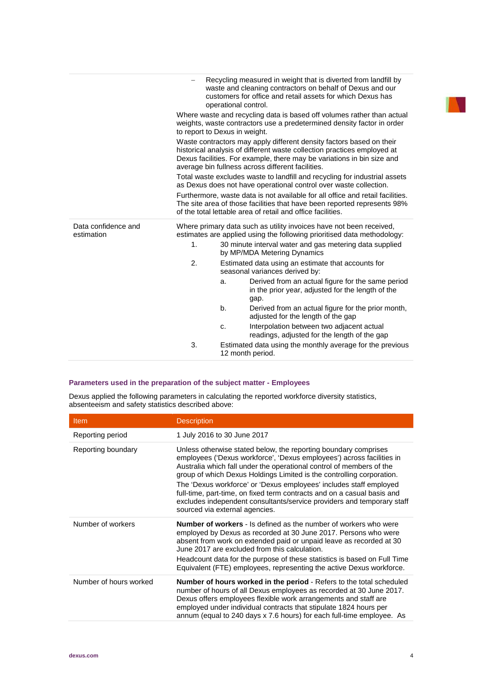|                                   |                | Recycling measured in weight that is diverted from landfill by<br>waste and cleaning contractors on behalf of Dexus and our<br>customers for office and retail assets for which Dexus has<br>operational control.                                                              |
|-----------------------------------|----------------|--------------------------------------------------------------------------------------------------------------------------------------------------------------------------------------------------------------------------------------------------------------------------------|
|                                   |                | Where waste and recycling data is based off volumes rather than actual<br>weights, waste contractors use a predetermined density factor in order<br>to report to Dexus in weight.                                                                                              |
|                                   |                | Waste contractors may apply different density factors based on their<br>historical analysis of different waste collection practices employed at<br>Dexus facilities. For example, there may be variations in bin size and<br>average bin fullness across different facilities. |
|                                   |                | Total waste excludes waste to landfill and recycling for industrial assets<br>as Dexus does not have operational control over waste collection.                                                                                                                                |
|                                   |                | Furthermore, waste data is not available for all office and retail facilities.<br>The site area of those facilities that have been reported represents 98%<br>of the total lettable area of retail and office facilities.                                                      |
|                                   |                |                                                                                                                                                                                                                                                                                |
| Data confidence and<br>estimation |                | Where primary data such as utility invoices have not been received,<br>estimates are applied using the following prioritised data methodology:                                                                                                                                 |
|                                   | 1 <sub>1</sub> | 30 minute interval water and gas metering data supplied<br>by MP/MDA Metering Dynamics                                                                                                                                                                                         |
|                                   | 2.             | Estimated data using an estimate that accounts for<br>seasonal variances derived by:                                                                                                                                                                                           |
|                                   |                | Derived from an actual figure for the same period<br>a.<br>in the prior year, adjusted for the length of the<br>gap.                                                                                                                                                           |
|                                   |                | Derived from an actual figure for the prior month,<br>b.<br>adjusted for the length of the gap                                                                                                                                                                                 |
|                                   |                | Interpolation between two adjacent actual<br>c.<br>readings, adjusted for the length of the gap                                                                                                                                                                                |

# **Parameters used in the preparation of the subject matter - Employees**

Dexus applied the following parameters in calculating the reported workforce diversity statistics, absenteeism and safety statistics described above:

| <b>Item</b>            | <b>Description</b>                                                                                                                                                                                                                                                                                                                                                                                                                                                                                                                                     |
|------------------------|--------------------------------------------------------------------------------------------------------------------------------------------------------------------------------------------------------------------------------------------------------------------------------------------------------------------------------------------------------------------------------------------------------------------------------------------------------------------------------------------------------------------------------------------------------|
| Reporting period       | 1 July 2016 to 30 June 2017                                                                                                                                                                                                                                                                                                                                                                                                                                                                                                                            |
| Reporting boundary     | Unless otherwise stated below, the reporting boundary comprises<br>employees ('Dexus workforce', 'Dexus employees') across facilities in<br>Australia which fall under the operational control of members of the<br>group of which Dexus Holdings Limited is the controlling corporation.<br>The 'Dexus workforce' or 'Dexus employees' includes staff employed<br>full-time, part-time, on fixed term contracts and on a casual basis and<br>excludes independent consultants/service providers and temporary staff<br>sourced via external agencies. |
| Number of workers      | <b>Number of workers</b> - Is defined as the number of workers who were<br>employed by Dexus as recorded at 30 June 2017. Persons who were<br>absent from work on extended paid or unpaid leave as recorded at 30<br>June 2017 are excluded from this calculation.<br>Headcount data for the purpose of these statistics is based on Full Time<br>Equivalent (FTE) employees, representing the active Dexus workforce.                                                                                                                                 |
| Number of hours worked | <b>Number of hours worked in the period - Refers to the total scheduled</b><br>number of hours of all Dexus employees as recorded at 30 June 2017.<br>Dexus offers employees flexible work arrangements and staff are<br>employed under individual contracts that stipulate 1824 hours per<br>annum (equal to 240 days x 7.6 hours) for each full-time employee. As                                                                                                                                                                                    |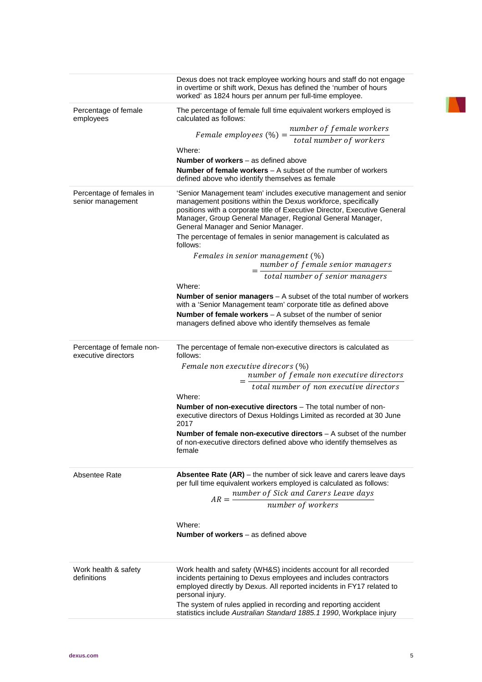|                                                  | personal injury.<br>The system of rules applied in recording and reporting accident<br>statistics include Australian Standard 1885.1 1990, Workplace injury                                                                       |  |  |
|--------------------------------------------------|-----------------------------------------------------------------------------------------------------------------------------------------------------------------------------------------------------------------------------------|--|--|
| Work health & safety<br>definitions              | Work health and safety (WH&S) incidents account for all recorded<br>incidents pertaining to Dexus employees and includes contractors<br>employed directly by Dexus. All reported incidents in FY17 related to                     |  |  |
|                                                  | Number of workers – as defined above                                                                                                                                                                                              |  |  |
|                                                  | Where:                                                                                                                                                                                                                            |  |  |
|                                                  |                                                                                                                                                                                                                                   |  |  |
|                                                  | $AR = \frac{number\ of\ Sick\ and\ Carers\ Leave\ days}{number\ of\ workers}$                                                                                                                                                     |  |  |
| Absentee Rate                                    | <b>Absentee Rate (AR)</b> – the number of sick leave and carers leave days<br>per full time equivalent workers employed is calculated as follows:                                                                                 |  |  |
|                                                  | of non-executive directors defined above who identify themselves as<br>female                                                                                                                                                     |  |  |
|                                                  | <b>Number of non-executive directors</b> – The total number of non-<br>executive directors of Dexus Holdings Limited as recorded at 30 June<br>2017<br><b>Number of female non-executive directors</b> $-$ A subset of the number |  |  |
|                                                  | Where:                                                                                                                                                                                                                            |  |  |
|                                                  | total number of non executive directors                                                                                                                                                                                           |  |  |
|                                                  | Female non executive direcors (%)<br>number of female non executive directors                                                                                                                                                     |  |  |
| Percentage of female non-<br>executive directors | The percentage of female non-executive directors is calculated as<br>follows:                                                                                                                                                     |  |  |
|                                                  | managers defined above who identify themselves as female                                                                                                                                                                          |  |  |
|                                                  | with a 'Senior Management team' corporate title as defined above<br><b>Number of female workers</b> $-$ A subset of the number of senior                                                                                          |  |  |
|                                                  | <b>Number of senior managers</b> $-$ A subset of the total number of workers                                                                                                                                                      |  |  |
|                                                  | Where:                                                                                                                                                                                                                            |  |  |
|                                                  | $=\frac{number\ of\ female\ senior\ managers}{total\ number\ of\ senior\ managers}$                                                                                                                                               |  |  |
|                                                  | follows:<br>Females in senior management (%)                                                                                                                                                                                      |  |  |
|                                                  | General Manager and Senior Manager.<br>The percentage of females in senior management is calculated as                                                                                                                            |  |  |
|                                                  | positions with a corporate title of Executive Director, Executive General<br>Manager, Group General Manager, Regional General Manager,                                                                                            |  |  |
| Percentage of females in<br>senior management    | 'Senior Management team' includes executive management and senior<br>management positions within the Dexus workforce, specifically                                                                                                |  |  |
|                                                  | defined above who identify themselves as female                                                                                                                                                                                   |  |  |
|                                                  | <b>Number of workers</b> $-$ as defined above<br><b>Number of female workers</b> $-$ A subset of the number of workers                                                                                                            |  |  |
|                                                  | Where:                                                                                                                                                                                                                            |  |  |
|                                                  | Female employees $(\%) = \frac{number\ of\ female\ workers}{total\ number\ of\ workers}$                                                                                                                                          |  |  |
| employees                                        | calculated as follows:                                                                                                                                                                                                            |  |  |
| Percentage of female                             | The percentage of female full time equivalent workers employed is                                                                                                                                                                 |  |  |
|                                                  | Dexus does not track employee working hours and staff do not engage<br>in overtime or shift work, Dexus has defined the 'number of hours<br>worked' as 1824 hours per annum per full-time employee.                               |  |  |

**TEN**